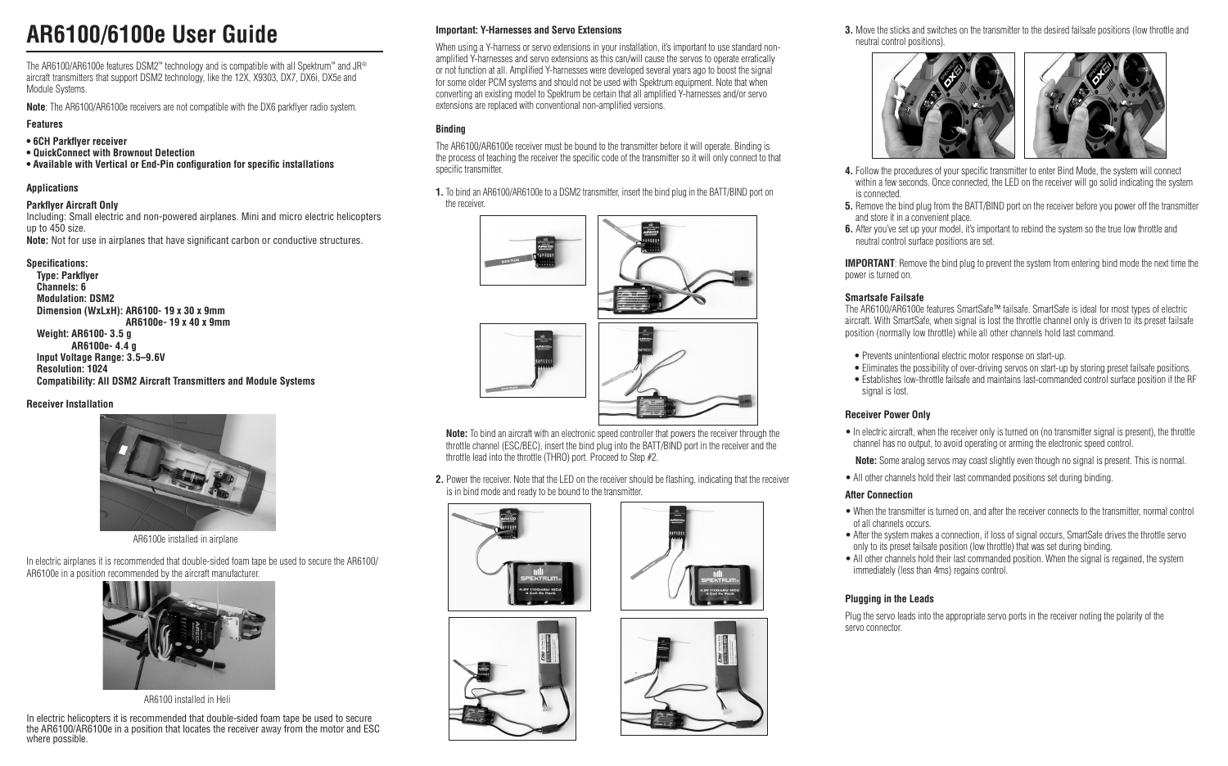# **AR6100/6100e User Guide**

The AR6100/AR6100e features DSM2™ technology and is compatible with all Spektrum™ and JR® aircraft transmitters that support DSM2 technology, like the 12X, X9303, DX7, DX6i, DX5e and Module Systems.

**Note**: The AR6100/AR6100e receivers are not compatible with the DX6 parkflyer radio system.

#### **Features**

- **6CH Parkflyer receiver**
- **QuickConnect with Brownout Detection**
- **Available with Vertical or End-Pin configuration for specific installations**

#### **Applications**

#### **Parkflyer Aircraft Only**

Including: Small electric and non-powered airplanes. Mini and micro electric helicopters up to 450 size. **Note:** Not for use in airplanes that have significant carbon or conductive structures.

#### **Specifications:**

**Type: Parkflyer Channels: 6 Modulation: DSM2 Dimension (WxLxH): AR6100- 19 x 30 x 9mm AR6100e- 19 x 40 x 9mm Weight: AR6100- 3.5 g AR6100e- 4.4 g Input Voltage Range: 3.5–9.6V Resolution: 1024 Compatibility: All DSM2 Aircraft Transmitters and Module Systems** 

**Receiver Installation**



AR6100e installed in airplane

In electric airplanes it is recommended that double-sided foam tape be used to secure the AR6100/ AR6100e in a position recommended by the aircraft manufacturer.



AR6100 installed in Heli

In electric helicopters it is recommended that double-sided foam tape be used to secure the AR6100/AR6100e in a position that locates the receiver away from the motor and ESC where possible.

#### **Important: Y-Harnesses and Servo Extensions**

When using a Y-harness or servo extensions in your installation, it's important to use standard nonamplified Y-harnesses and servo extensions as this can/will cause the servos to operate erratically or not function at all. Amplified Y-harnesses were developed several years ago to boost the signal for some older PCM systems and should not be used with Spektrum equipment. Note that when converting an existing model to Spektrum be certain that all amplified Y-harnesses and/or servo extensions are replaced with conventional non-amplified versions.

#### **Binding**

The AR6100/AR6100e receiver must be bound to the transmitter before it will operate. Binding is the process of teaching the receiver the specific code of the transmitter so it will only connect to that specific transmitter.

**1.** To bind an AR6100/AR6100e to a DSM2 transmitter, insert the bind plug in the BATT/BIND port on the receiver.



**Note:** To bind an aircraft with an electronic speed controller that powers the receiver through the throttle channel (ESC/BEC), insert the bind plug into the BATT/BIND port in the receiver and the throttle lead into the throttle (THRO) port. Proceed to Step #2.

**2.** Power the receiver. Note that the LED on the receiver should be flashing, indicating that the receiver is in bind mode and ready to be bound to the transmitter.









**3.** Move the sticks and switches on the transmitter to the desired failsafe positions (low throttle and neutral control positions).



- **4.** Follow the procedures of your specific transmitter to enter Bind Mode, the system will connect within a few seconds. Once connected, the LED on the receiver will go solid indicating the system is connected.
- **5.** Remove the bind plug from the BATT/BIND port on the receiver before you power off the transmitter and store it in a convenient place.
- **6.** After you've set up your model, it's important to rebind the system so the true low throttle and neutral control surface positions are set.

**IMPORTANT**: Remove the bind plug to prevent the system from entering bind mode the next time the power is turned on.

#### **Smartsafe Failsafe**

The AR6100/AR6100e features SmartSafe™ failsafe. SmartSafe is ideal for most types of electric aircraft. With SmartSafe, when signal is lost the throttle channel only is driven to its preset failsafe position (normally low throttle) while all other channels hold last command.

- Prevents unintentional electric motor response on start-up.
- Eliminates the possibility of over-driving servos on start-up by storing preset failsafe positions.
- Establishes low-throttle failsafe and maintains last-commanded control surface position if the RF signal is lost.

#### **Receiver Power Only**

- In electric aircraft, when the receiver only is turned on (no transmitter signal is present), the throttle channel has no output, to avoid operating or arming the electronic speed control.
- **Note:** Some analog servos may coast slightly even though no signal is present. This is normal.
- All other channels hold their last commanded positions set during binding.

#### **After Connection**

- When the transmitter is turned on, and after the receiver connects to the transmitter, normal control of all channels occurs.
- After the system makes a connection, if loss of signal occurs, SmartSafe drives the throttle servo only to its preset failsafe position (low throttle) that was set during binding.
- All other channels hold their last commanded position. When the signal is regained, the system immediately (less than 4ms) regains control.

#### **Plugging in the Leads**

Plug the servo leads into the appropriate servo ports in the receiver noting the polarity of the servo connector.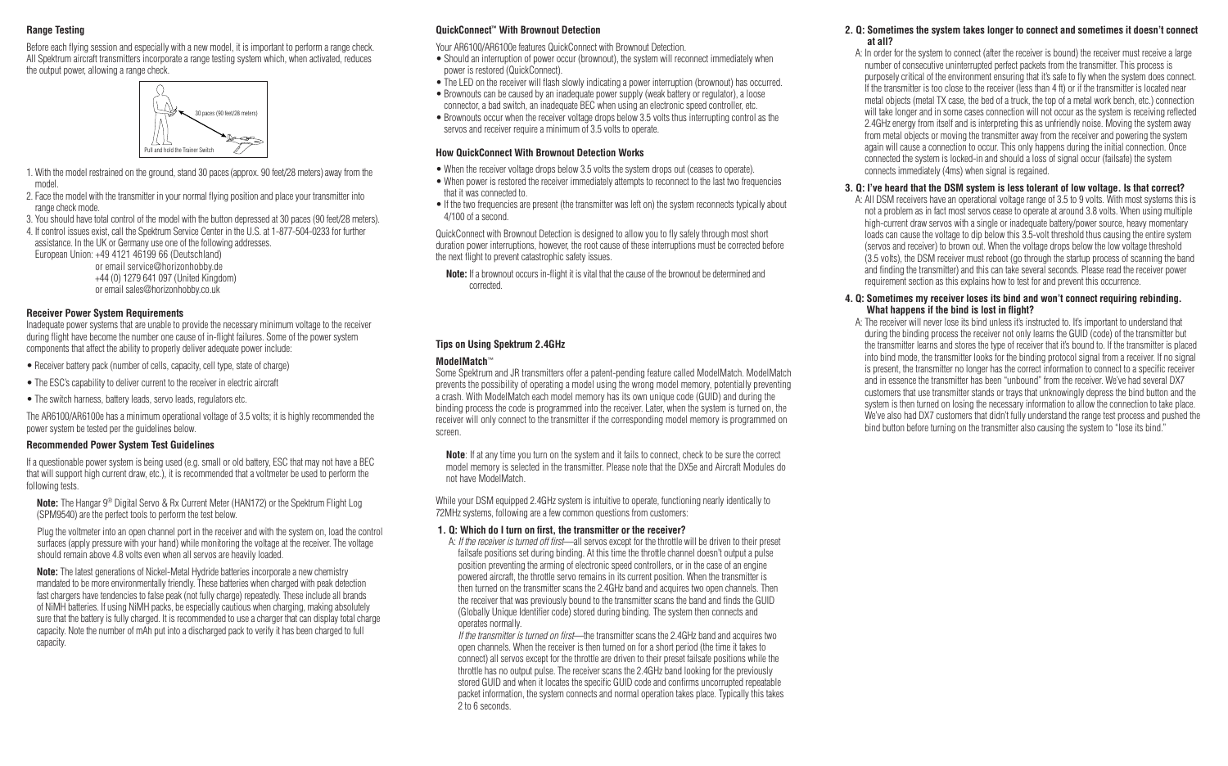#### **Range Testing**

Before each flying session and especially with a new model, it is important to perform a range check. All Spektrum aircraft transmitters incorporate a range testing system which, when activated, reduces the output power, allowing a range check.



- 1. With the model restrained on the ground, stand 30 paces (approx. 90 feet/28 meters) away from the model.
- 2. Face the model with the transmitter in your normal flying position and place your transmitter into range check mode.
- 3. You should have total control of the model with the button depressed at 30 paces (90 feet/28 meters).
- 4. If control issues exist, call the Spektrum Service Center in the U.S. at 1-877-504-0233 for further assistance. In the UK or Germany use one of the following addresses. European Union: +49 4121 46199 66 (Deutschland)

or email service@horizonhobby.de +44 (0) 1279 641 097 (United Kingdom) or email sales@horizonhobby.co.uk

#### **Receiver Power System Requirements**

Inadequate power systems that are unable to provide the necessary minimum voltage to the receiver during flight have become the number one cause of in-flight failures. Some of the power system components that affect the ability to properly deliver adequate power include:

- Receiver battery pack (number of cells, capacity, cell type, state of charge)
- The ESC's capability to deliver current to the receiver in electric aircraft
- The switch harness, battery leads, servo leads, regulators etc.

The AR6100/AR6100e has a minimum operational voltage of 3.5 volts; it is highly recommended the power system be tested per the guidelines below.

#### **Recommended Power System Test Guidelines**

If a questionable power system is being used (e.g. small or old battery, ESC that may not have a BEC that will support high current draw, etc.), it is recommended that a voltmeter be used to perform the following tests.

 **Note:** The Hangar 9® Digital Servo & Rx Current Meter (HAN172) or the Spektrum Flight Log (SPM9540) are the perfect tools to perform the test below.

 Plug the voltmeter into an open channel port in the receiver and with the system on, load the control surfaces (apply pressure with your hand) while monitoring the voltage at the receiver. The voltage should remain above 4.8 volts even when all servos are heavily loaded.

 **Note:** The latest generations of Nickel-Metal Hydride batteries incorporate a new chemistry mandated to be more environmentally friendly. These batteries when charged with peak detection fast chargers have tendencies to false peak (not fully charge) repeatedly. These include all brands of NiMH batteries. If using NiMH packs, be especially cautious when charging, making absolutely sure that the battery is fully charged. It is recommended to use a charger that can display total charge capacity. Note the number of mAh put into a discharged pack to verify it has been charged to full capacity.

#### **QuickConnect™ With Brownout Detection**

Your AR6100/AR6100e features QuickConnect with Brownout Detection.

- Should an interruption of power occur (brownout), the system will reconnect immediately when power is restored (QuickConnect).
- The LED on the receiver will flash slowly indicating a power interruption (brownout) has occurred.
- Brownouts can be caused by an inadequate power supply (weak battery or regulator), a loose connector, a bad switch, an inadequate BEC when using an electronic speed controller, etc.
- Brownouts occur when the receiver voltage drops below 3.5 volts thus interrupting control as the servos and receiver require a minimum of 3.5 volts to operate.

#### **How QuickConnect With Brownout Detection Works**

- When the receiver voltage drops below 3.5 volts the system drops out (ceases to operate).
- When power is restored the receiver immediately attempts to reconnect to the last two frequencies that it was connected to.
- If the two frequencies are present (the transmitter was left on) the system reconnects typically about 4/100 of a second.

QuickConnect with Brownout Detection is designed to allow you to fly safely through most short duration power interruptions, however, the root cause of these interruptions must be corrected before the next flight to prevent catastrophic safety issues.

**Note:** If a brownout occurs in-flight it is vital that the cause of the brownout be determined and corrected.

#### **Tips on Using Spektrum 2.4GHz**

#### **ModelMatch**™

Some Spektrum and JR transmitters offer a patent-pending feature called ModelMatch. ModelMatch prevents the possibility of operating a model using the wrong model memory, potentially preventing a crash. With ModelMatch each model memory has its own unique code (GUID) and during the binding process the code is programmed into the receiver. Later, when the system is turned on, the receiver will only connect to the transmitter if the corresponding model memory is programmed on screen.

 **Note**: If at any time you turn on the system and it fails to connect, check to be sure the correct model memory is selected in the transmitter. Please note that the DX5e and Aircraft Modules do not have ModelMatch.

While your DSM equipped 2.4GHz system is intuitive to operate, functioning nearly identically to 72MHz systems, following are a few common questions from customers:

#### **1. Q: Which do I turn on first, the transmitter or the receiver?**

A: *If the receiver is turned off first*—all servos except for the throttle will be driven to their preset failsafe positions set during binding. At this time the throttle channel doesn't output a pulse position preventing the arming of electronic speed controllers, or in the case of an engine powered aircraft, the throttle servo remains in its current position. When the transmitter is then turned on the transmitter scans the 2.4GHz band and acquires two open channels. Then the receiver that was previously bound to the transmitter scans the band and finds the GUID (Globally Unique Identifier code) stored during binding. The system then connects and operates normally.

*If the transmitter is turned on first*—the transmitter scans the 2.4GHz band and acquires two open channels. When the receiver is then turned on for a short period (the time it takes to connect) all servos except for the throttle are driven to their preset failsafe positions while the throttle has no output pulse. The receiver scans the 2.4GHz band looking for the previously stored GUID and when it locates the specific GUID code and confirms uncorrupted repeatable packet information, the system connects and normal operation takes place. Typically this takes 2 to 6 seconds.

#### **2. Q: Sometimes the system takes longer to connect and sometimes it doesn't connect at all?**

A: In order for the system to connect (after the receiver is bound) the receiver must receive a large number of consecutive uninterrupted perfect packets from the transmitter. This process is purposely critical of the environment ensuring that it's safe to fly when the system does connect. If the transmitter is too close to the receiver (less than 4 ft) or if the transmitter is located near metal objects (metal TX case, the bed of a truck, the top of a metal work bench, etc.) connection will take longer and in some cases connection will not occur as the system is receiving reflected 2.4GHz energy from itself and is interpreting this as unfriendly noise. Moving the system away from metal objects or moving the transmitter away from the receiver and powering the system again will cause a connection to occur. This only happens during the initial connection. Once connected the system is locked-in and should a loss of signal occur (failsafe) the system connects immediately (4ms) when signal is regained.

#### **3. Q: I've heard that the DSM system is less tolerant of low voltage. Is that correct?**

A: All DSM receivers have an operational voltage range of 3.5 to 9 volts. With most systems this is not a problem as in fact most servos cease to operate at around 3.8 volts. When using multiple high-current draw servos with a single or inadequate battery/power source, heavy momentary loads can cause the voltage to dip below this 3.5-volt threshold thus causing the entire system (servos and receiver) to brown out. When the voltage drops below the low voltage threshold (3.5 volts), the DSM receiver must reboot (go through the startup process of scanning the band and finding the transmitter) and this can take several seconds. Please read the receiver power requirement section as this explains how to test for and prevent this occurrence.

#### **4. Q: Sometimes my receiver loses its bind and won't connect requiring rebinding. What happens if the bind is lost in flight?**

A: The receiver will never lose its bind unless it's instructed to. It's important to understand that during the binding process the receiver not only learns the GUID (code) of the transmitter but the transmitter learns and stores the type of receiver that it's bound to. If the transmitter is placed into bind mode, the transmitter looks for the binding protocol signal from a receiver. If no signal is present, the transmitter no longer has the correct information to connect to a specific receiver and in essence the transmitter has been "unbound" from the receiver. We've had several DX7 customers that use transmitter stands or trays that unknowingly depress the bind button and the system is then turned on losing the necessary information to allow the connection to take place. We've also had DX7 customers that didn't fully understand the range test process and pushed the bind button before turning on the transmitter also causing the system to "lose its bind."